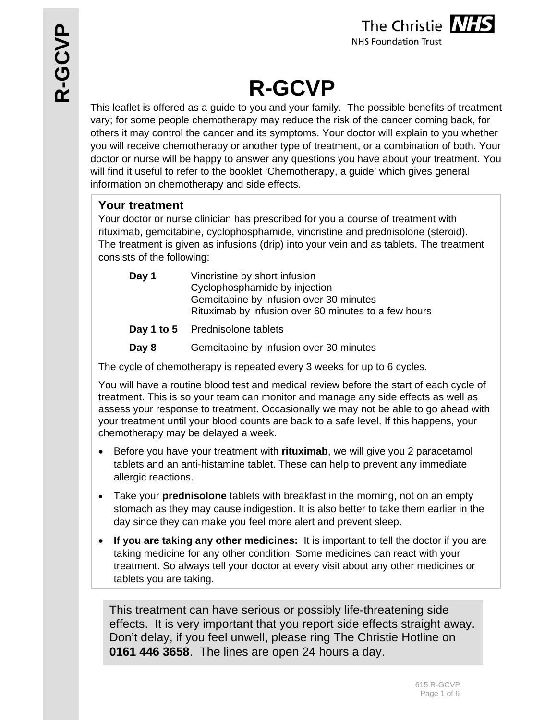

**NHS Foundation Trust** 

# **R-GCVP**

This leaflet is offered as a guide to you and your family. The possible benefits of treatment vary; for some people chemotherapy may reduce the risk of the cancer coming back, for others it may control the cancer and its symptoms. Your doctor will explain to you whether you will receive chemotherapy or another type of treatment, or a combination of both. Your doctor or nurse will be happy to answer any questions you have about your treatment. You will find it useful to refer to the booklet 'Chemotherapy, a guide' which gives general information on chemotherapy and side effects.

# **Your treatment**

Your doctor or nurse clinician has prescribed for you a course of treatment with rituximab, gemcitabine, cyclophosphamide, vincristine and prednisolone (steroid). The treatment is given as infusions (drip) into your vein and as tablets. The treatment consists of the following:

| Day 1 | Vincristine by short infusion<br>Cyclophosphamide by injection<br>Gemcitabine by infusion over 30 minutes<br>Rituximab by infusion over 60 minutes to a few hours |
|-------|-------------------------------------------------------------------------------------------------------------------------------------------------------------------|
|       | Day 1 to 5 Prednisolone tablets                                                                                                                                   |

**Day 8** Gemcitabine by infusion over 30 minutes

The cycle of chemotherapy is repeated every 3 weeks for up to 6 cycles.

You will have a routine blood test and medical review before the start of each cycle of treatment. This is so your team can monitor and manage any side effects as well as assess your response to treatment. Occasionally we may not be able to go ahead with your treatment until your blood counts are back to a safe level. If this happens, your chemotherapy may be delayed a week.

- Before you have your treatment with **rituximab**, we will give you 2 paracetamol tablets and an anti-histamine tablet. These can help to prevent any immediate allergic reactions.
- Take your **prednisolone** tablets with breakfast in the morning, not on an empty stomach as they may cause indigestion. It is also better to take them earlier in the day since they can make you feel more alert and prevent sleep.
- **If you are taking any other medicines:** It is important to tell the doctor if you are taking medicine for any other condition. Some medicines can react with your treatment. So always tell your doctor at every visit about any other medicines or tablets you are taking.

This treatment can have serious or possibly life-threatening side effects. It is very important that you report side effects straight away. Don't delay, if you feel unwell, please ring The Christie Hotline on **0161 446 3658**. The lines are open 24 hours a day.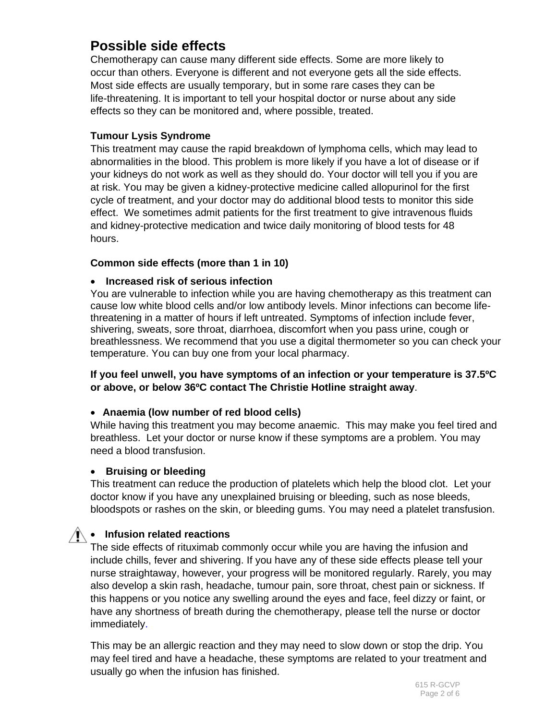# **Possible side effects**

Chemotherapy can cause many different side effects. Some are more likely to occur than others. Everyone is different and not everyone gets all the side effects. Most side effects are usually temporary, but in some rare cases they can be life-threatening. It is important to tell your hospital doctor or nurse about any side effects so they can be monitored and, where possible, treated.

#### **Tumour Lysis Syndrome**

This treatment may cause the rapid breakdown of lymphoma cells, which may lead to abnormalities in the blood. This problem is more likely if you have a lot of disease or if your kidneys do not work as well as they should do. Your doctor will tell you if you are at risk. You may be given a kidney-protective medicine called allopurinol for the first cycle of treatment, and your doctor may do additional blood tests to monitor this side effect. We sometimes admit patients for the first treatment to give intravenous fluids and kidney-protective medication and twice daily monitoring of blood tests for 48 hours.

#### **Common side effects (more than 1 in 10)**

#### **Increased risk of serious infection**

You are vulnerable to infection while you are having chemotherapy as this treatment can cause low white blood cells and/or low antibody levels. Minor infections can become lifethreatening in a matter of hours if left untreated. Symptoms of infection include fever, shivering, sweats, sore throat, diarrhoea, discomfort when you pass urine, cough or breathlessness. We recommend that you use a digital thermometer so you can check your temperature. You can buy one from your local pharmacy.

#### **If you feel unwell, you have symptoms of an infection or your temperature is 37.5ºC or above, or below 36ºC contact The Christie Hotline straight away**.

#### **Anaemia (low number of red blood cells)**

While having this treatment you may become anaemic. This may make you feel tired and breathless. Let your doctor or nurse know if these symptoms are a problem. You may need a blood transfusion.

#### **Bruising or bleeding**

This treatment can reduce the production of platelets which help the blood clot. Let your doctor know if you have any unexplained bruising or bleeding, such as nose bleeds, bloodspots or rashes on the skin, or bleeding gums. You may need a platelet transfusion.

## **Infusion related reactions**

The side effects of rituximab commonly occur while you are having the infusion and include chills, fever and shivering. If you have any of these side effects please tell your nurse straightaway, however, your progress will be monitored regularly. Rarely, you may also develop a skin rash, headache, tumour pain, sore throat, chest pain or sickness. If this happens or you notice any swelling around the eyes and face, feel dizzy or faint, or have any shortness of breath during the chemotherapy, please tell the nurse or doctor immediately.

This may be an allergic reaction and they may need to slow down or stop the drip. You may feel tired and have a headache, these symptoms are related to your treatment and usually go when the infusion has finished.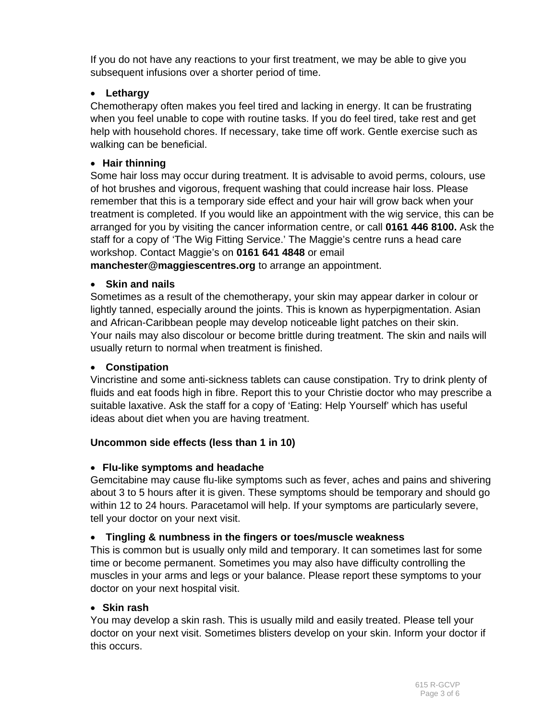If you do not have any reactions to your first treatment, we may be able to give you subsequent infusions over a shorter period of time.

## **Lethargy**

Chemotherapy often makes you feel tired and lacking in energy. It can be frustrating when you feel unable to cope with routine tasks. If you do feel tired, take rest and get help with household chores. If necessary, take time off work. Gentle exercise such as walking can be beneficial.

### **Hair thinning**

Some hair loss may occur during treatment. It is advisable to avoid perms, colours, use of hot brushes and vigorous, frequent washing that could increase hair loss. Please remember that this is a temporary side effect and your hair will grow back when your treatment is completed. If you would like an appointment with the wig service, this can be arranged for you by visiting the cancer information centre, or call **0161 446 8100.** Ask the staff for a copy of 'The Wig Fitting Service.' The Maggie's centre runs a head care workshop. Contact Maggie's on **0161 641 4848** or email

**manchester@maggiescentres.org** to arrange an appointment.

#### **Skin and nails**

Sometimes as a result of the chemotherapy, your skin may appear darker in colour or lightly tanned, especially around the joints. This is known as hyperpigmentation. Asian and African-Caribbean people may develop noticeable light patches on their skin. Your nails may also discolour or become brittle during treatment. The skin and nails will usually return to normal when treatment is finished.

#### **Constipation**

Vincristine and some anti-sickness tablets can cause constipation. Try to drink plenty of fluids and eat foods high in fibre. Report this to your Christie doctor who may prescribe a suitable laxative. Ask the staff for a copy of 'Eating: Help Yourself' which has useful ideas about diet when you are having treatment.

#### **Uncommon side effects (less than 1 in 10)**

#### **Flu-like symptoms and headache**

Gemcitabine may cause flu-like symptoms such as fever, aches and pains and shivering about 3 to 5 hours after it is given. These symptoms should be temporary and should go within 12 to 24 hours. Paracetamol will help. If your symptoms are particularly severe, tell your doctor on your next visit.

#### **Tingling & numbness in the fingers or toes/muscle weakness**

This is common but is usually only mild and temporary. It can sometimes last for some time or become permanent. Sometimes you may also have difficulty controlling the muscles in your arms and legs or your balance. Please report these symptoms to your doctor on your next hospital visit.

#### **Skin rash**

You may develop a skin rash. This is usually mild and easily treated. Please tell your doctor on your next visit. Sometimes blisters develop on your skin. Inform your doctor if this occurs.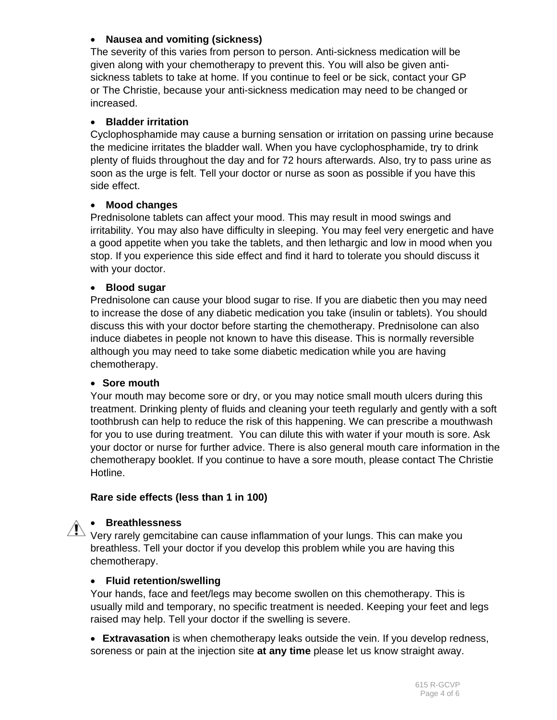### **Nausea and vomiting (sickness)**

The severity of this varies from person to person. Anti-sickness medication will be given along with your chemotherapy to prevent this. You will also be given antisickness tablets to take at home. If you continue to feel or be sick, contact your GP or The Christie, because your anti-sickness medication may need to be changed or increased.

#### **Bladder irritation**

Cyclophosphamide may cause a burning sensation or irritation on passing urine because the medicine irritates the bladder wall. When you have cyclophosphamide, try to drink plenty of fluids throughout the day and for 72 hours afterwards. Also, try to pass urine as soon as the urge is felt. Tell your doctor or nurse as soon as possible if you have this side effect.

#### **Mood changes**

Prednisolone tablets can affect your mood. This may result in mood swings and irritability. You may also have difficulty in sleeping. You may feel very energetic and have a good appetite when you take the tablets, and then lethargic and low in mood when you stop. If you experience this side effect and find it hard to tolerate you should discuss it with your doctor.

#### **Blood sugar**

Prednisolone can cause your blood sugar to rise. If you are diabetic then you may need to increase the dose of any diabetic medication you take (insulin or tablets). You should discuss this with your doctor before starting the chemotherapy. Prednisolone can also induce diabetes in people not known to have this disease. This is normally reversible although you may need to take some diabetic medication while you are having chemotherapy.

#### **Sore mouth**

Your mouth may become sore or dry, or you may notice small mouth ulcers during this treatment. Drinking plenty of fluids and cleaning your teeth regularly and gently with a soft toothbrush can help to reduce the risk of this happening. We can prescribe a mouthwash for you to use during treatment. You can dilute this with water if your mouth is sore. Ask your doctor or nurse for further advice. There is also general mouth care information in the chemotherapy booklet. If you continue to have a sore mouth, please contact The Christie Hotline.

#### **Rare side effects (less than 1 in 100)**

#### **Breathlessness**

 $\sum_{i=1}^{\infty}$  Very rarely gemcitabine can cause inflammation of your lungs. This can make you breathless. Tell your doctor if you develop this problem while you are having this chemotherapy.

#### **Fluid retention/swelling**

Your hands, face and feet/legs may become swollen on this chemotherapy. This is usually mild and temporary, no specific treatment is needed. Keeping your feet and legs raised may help. Tell your doctor if the swelling is severe.

 **Extravasation** is when chemotherapy leaks outside the vein. If you develop redness, soreness or pain at the injection site **at any time** please let us know straight away.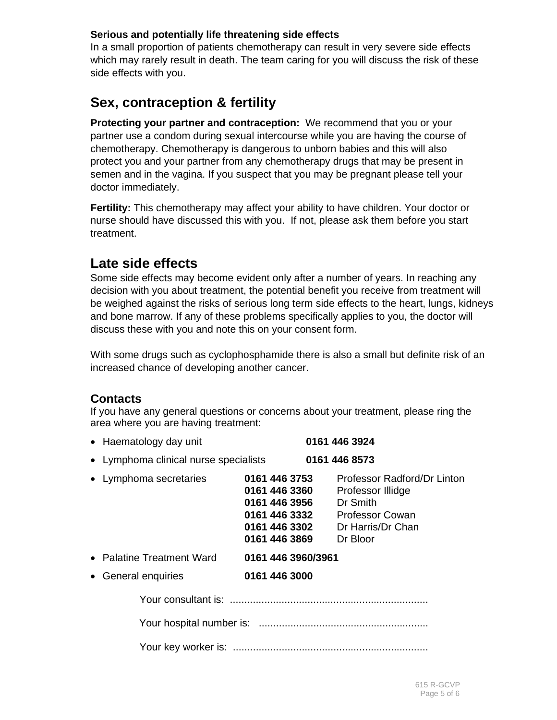#### **Serious and potentially life threatening side effects**

In a small proportion of patients chemotherapy can result in very severe side effects which may rarely result in death. The team caring for you will discuss the risk of these side effects with you.

# **Sex, contraception & fertility**

**Protecting your partner and contraception:** We recommend that you or your partner use a condom during sexual intercourse while you are having the course of chemotherapy. Chemotherapy is dangerous to unborn babies and this will also protect you and your partner from any chemotherapy drugs that may be present in semen and in the vagina. If you suspect that you may be pregnant please tell your doctor immediately.

**Fertility:** This chemotherapy may affect your ability to have children. Your doctor or nurse should have discussed this with you. If not, please ask them before you start treatment.

# **Late side effects**

Some side effects may become evident only after a number of years. In reaching any decision with you about treatment, the potential benefit you receive from treatment will be weighed against the risks of serious long term side effects to the heart, lungs, kidneys and bone marrow. If any of these problems specifically applies to you, the doctor will discuss these with you and note this on your consent form.

With some drugs such as cyclophosphamide there is also a small but definite risk of an increased chance of developing another cancer.

## **Contacts**

If you have any general questions or concerns about your treatment, please ring the area where you are having treatment:

Haematology day unit **0161 446 3924** 

| • Lymphoma clinical nurse specialists 0161 446 8573 |                                                                                                    |                                                                                                                         |  |
|-----------------------------------------------------|----------------------------------------------------------------------------------------------------|-------------------------------------------------------------------------------------------------------------------------|--|
| • Lymphoma secretaries                              | 0161 446 3753<br>0161 446 3360<br>0161 446 3956<br>0161 446 3332<br>0161 446 3302<br>0161 446 3869 | Professor Radford/Dr Linton<br>Professor Illidge<br>Dr Smith<br><b>Professor Cowan</b><br>Dr Harris/Dr Chan<br>Dr Bloor |  |
| • Palatine Treatment Ward                           | 0161 446 3960/3961                                                                                 |                                                                                                                         |  |
| • General enquiries                                 | 0161 446 3000                                                                                      |                                                                                                                         |  |
|                                                     |                                                                                                    |                                                                                                                         |  |
|                                                     |                                                                                                    |                                                                                                                         |  |
|                                                     |                                                                                                    |                                                                                                                         |  |